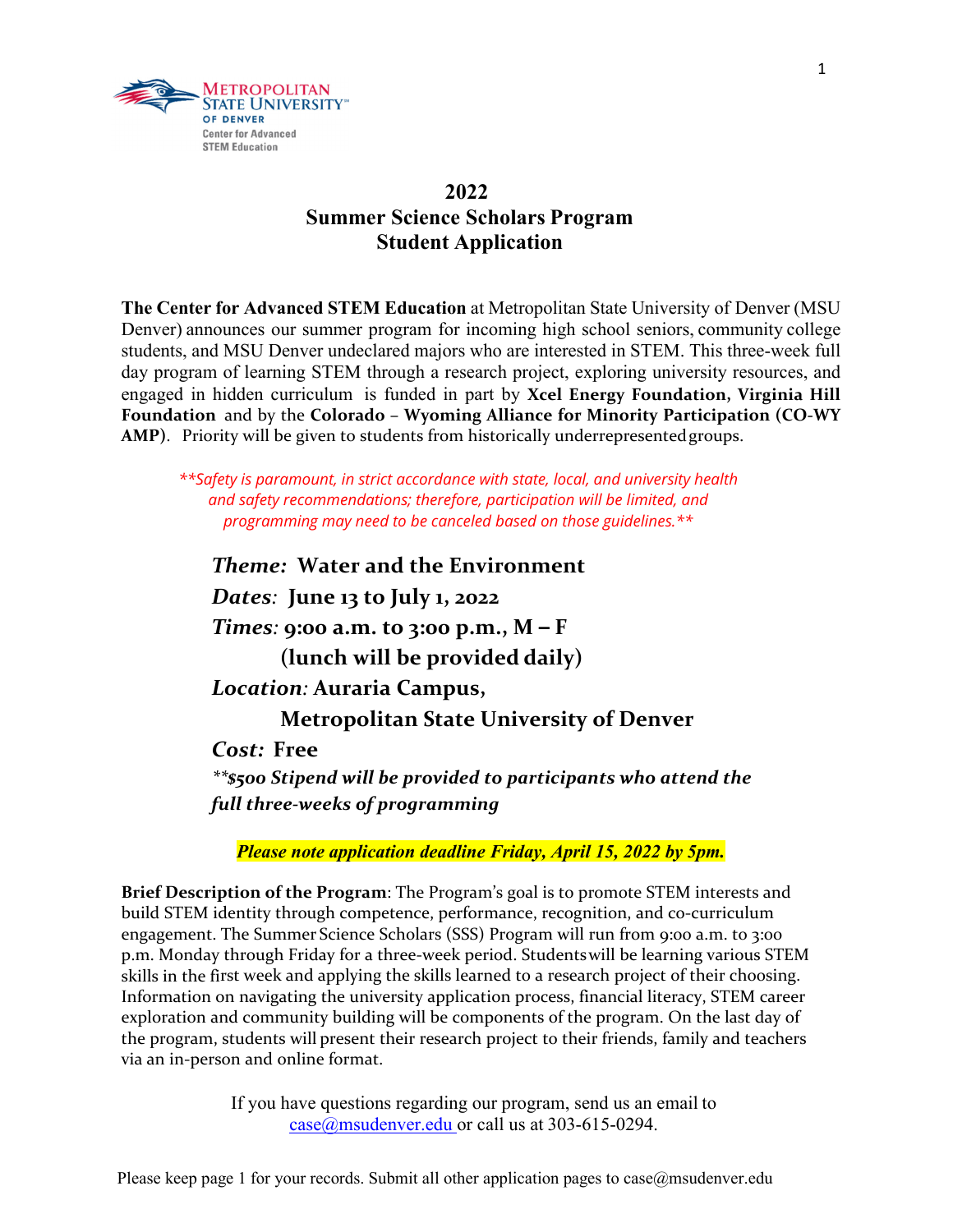

## **2022 Summer Science Scholars Program Student Application**

**The Center for Advanced STEM Education** at Metropolitan State University of Denver (MSU Denver) announces our summer program for incoming high school seniors, community college students, and MSU Denver undeclared majors who are interested in STEM. This three-week full day program of learning STEM through a research project, exploring university resources, and engaged in hidden curriculum is funded in part by **Xcel Energy Foundation, Virginia Hill Foundation** and by the **Colorado – Wyoming Alliance for Minority Participation (CO‐WY** AMP). Priority will be given to students from historically underrepresented groups.

*\*\*Safety is paramount, in strict accordance with state, local, and university health and safety recommendations; therefore, participation will be limited, and programming may need to be canceled based on those guidelines.\*\**

*Theme:* **Water and the Environment** *Dates:* **June 13 to July 1, 2022** *Times:* **9:00 a.m. to 3:00 p.m., M – F (lunch will be provided daily)** *Location:* **Auraria Campus, Metropolitan State University of Denver**  *Cost:* **Free** *\*\*\$500 Stipend will be provided to participants who attend the full three‐weeks of programming*

*Please note application deadline Friday, April 15, 2022 by 5pm.* 

**Brief Description of the Program**: The Program's goal is to promote STEM interests and build STEM identity through competence, performance, recognition, and co-curriculum engagement. The Summer Science Scholars (SSS) Program will run from 9:00 a.m. to 3:00 p.m. Monday through Friday for a three‐week period. Studentswill be learning various STEM skills in the first week and applying the skills learned to a research project of their choosing. Information on navigating the university application process, financial literacy, STEM career exploration and community building will be components of the program. On the last day of the program, students will present their research project to their friends, family and teachers via an in‐person and online format.

> If you have questions regarding our program, send us an email to case@msudenver.edu or call us at 303-615-0294.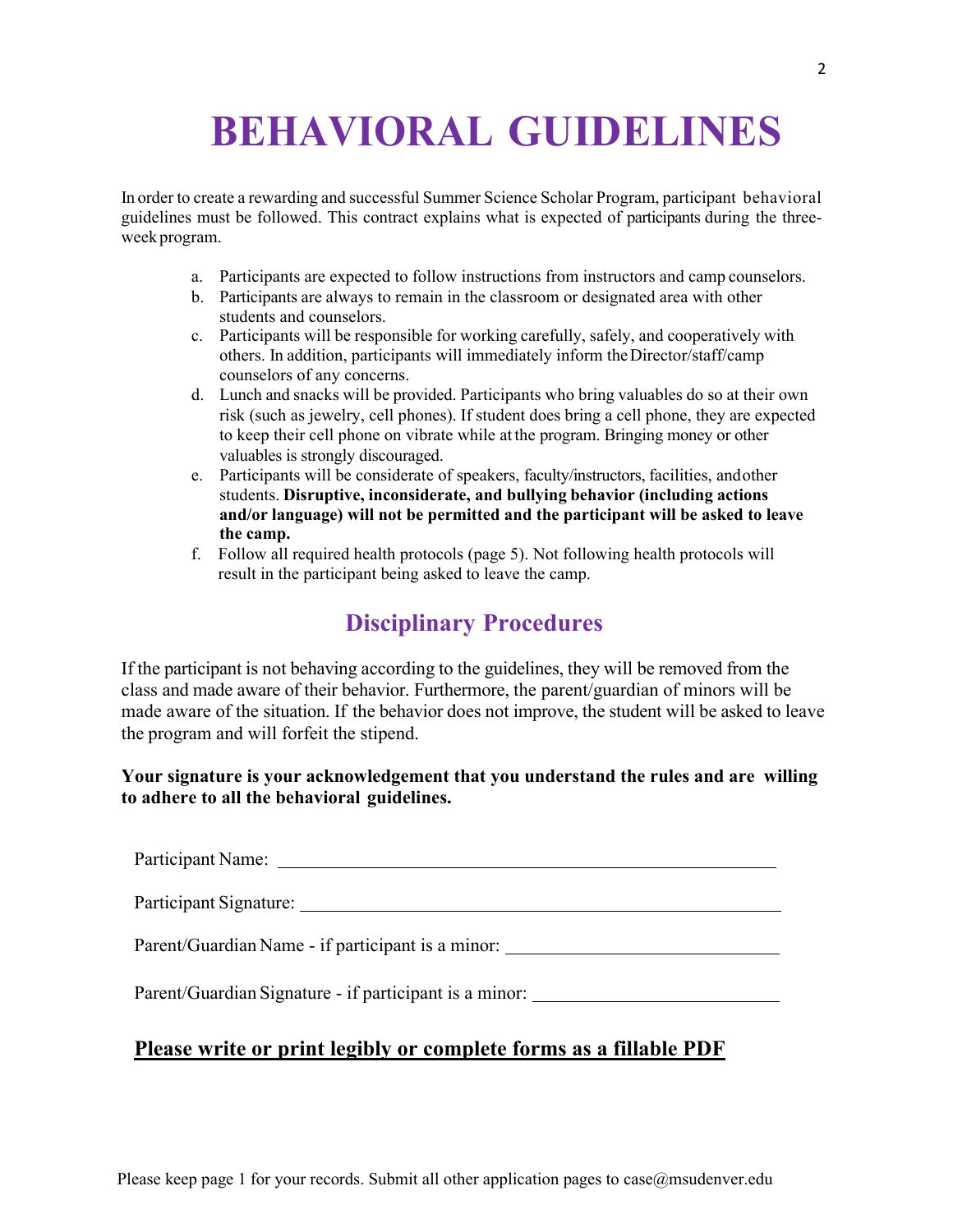# **BEHAVIORAL GUIDELINES**

In order to create a rewarding and successful Summer Science Scholar Program, participant behavioral guidelines must be followed. This contract explains what is expected of participants during the threeweek program.

- a. Participants are expected to follow instructions from instructors and camp counselors.
- b. Participants are always to remain in the classroom or designated area with other students and counselors.
- c. Participants will be responsible for working carefully, safely, and cooperatively with others. In addition, participants will immediately inform the Director/staff/camp counselors of any concerns.
- d. Lunch and snacks will be provided. Participants who bring valuables do so at their own risk (such as jewelry, cell phones). If student does bring a cell phone, they are expected to keep their cell phone on vibrate while at the program. Bringing money or other valuables is strongly discouraged.
- e. Participants will be considerate of speakers, faculty/instructors, facilities, and other students. **Disruptive, inconsiderate, and bullying behavior (including actions and/or language) will not be permitted and the participant will be asked to leave the camp.**
- f. Follow all required health protocols (page 5). Not following health protocols will result in the participant being asked to leave the camp.

# **Disciplinary Procedures**

If the participant is not behaving according to the guidelines, they will be removed from the class and made aware of their behavior. Furthermore, the parent/guardian of minors will be made aware of the situation. If the behavior does not improve, the student will be asked to leave the program and will forfeit the stipend.

**Your signature is your acknowledgement that you understand the rules and are willing to adhere to all the behavioral guidelines.**

| Participant Name:                                      |
|--------------------------------------------------------|
| Participant Signature:                                 |
| Parent/Guardian Name - if participant is a minor:      |
| Parent/Guardian Signature - if participant is a minor: |
|                                                        |

## **Please write or print legibly or complete forms as a fillable PDF**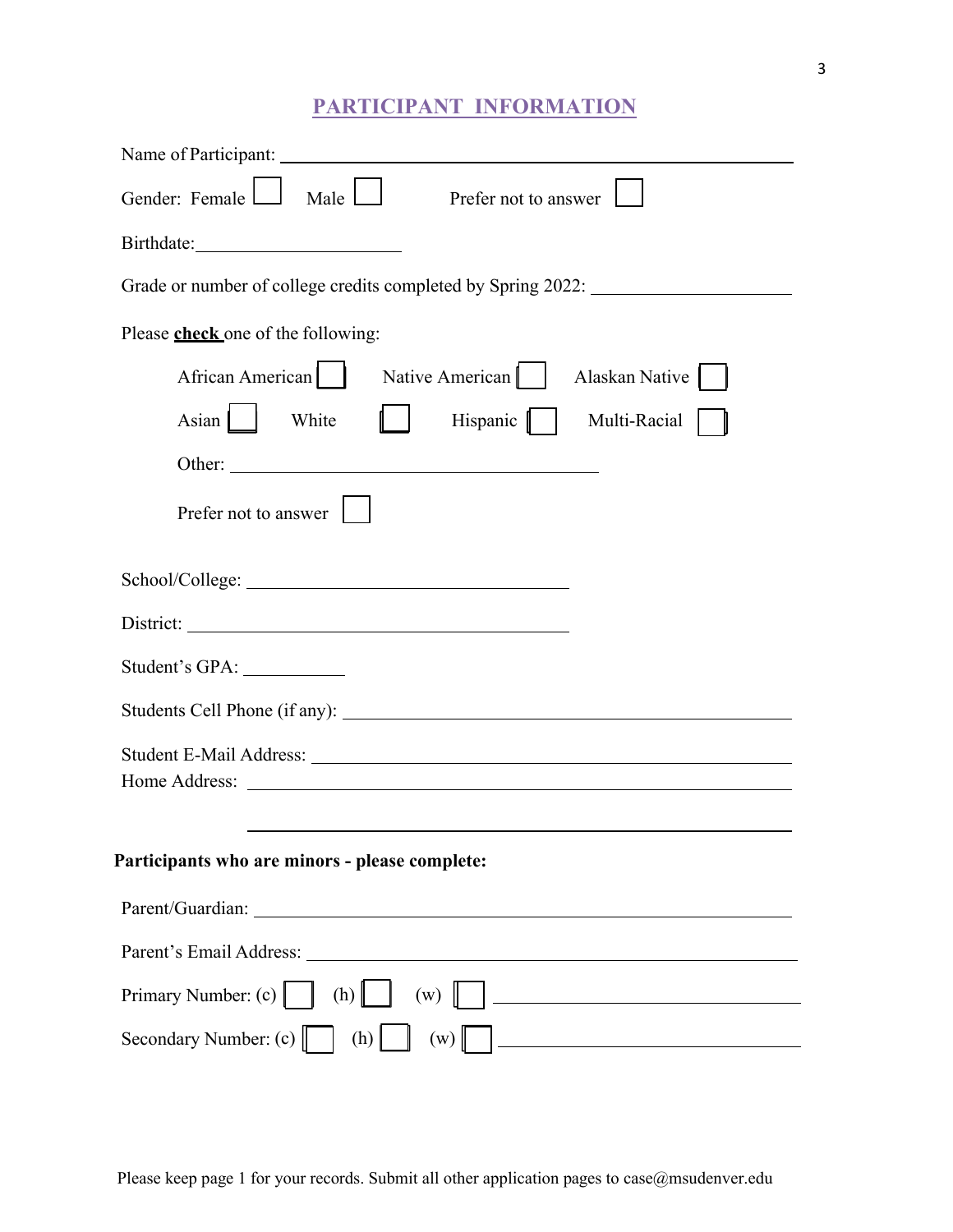# **PARTICIPANT INFORMATION**

| Gender: Female L<br>Male $\Box$<br>Prefer not to answer            |  |  |  |  |  |
|--------------------------------------------------------------------|--|--|--|--|--|
|                                                                    |  |  |  |  |  |
| Grade or number of college credits completed by Spring 2022:       |  |  |  |  |  |
| Please <b>check</b> one of the following:                          |  |  |  |  |  |
| African American   Native American  <br>Alaskan Native             |  |  |  |  |  |
| Hispanic  <br>Asian $\ $<br>White<br>Multi-Racial                  |  |  |  |  |  |
| Other:                                                             |  |  |  |  |  |
| Prefer not to answer                                               |  |  |  |  |  |
|                                                                    |  |  |  |  |  |
|                                                                    |  |  |  |  |  |
|                                                                    |  |  |  |  |  |
| Student's GPA: ______________                                      |  |  |  |  |  |
|                                                                    |  |  |  |  |  |
|                                                                    |  |  |  |  |  |
|                                                                    |  |  |  |  |  |
|                                                                    |  |  |  |  |  |
| Participants who are minors - please complete:                     |  |  |  |  |  |
| Parent/Guardian:<br><u> 1989 - Johann Stein, marwolaethau a bh</u> |  |  |  |  |  |
|                                                                    |  |  |  |  |  |
| Primary Number: (c)<br>(h)<br>(w)                                  |  |  |  |  |  |
| Secondary Number: (c)   <br>(h)<br>(w)                             |  |  |  |  |  |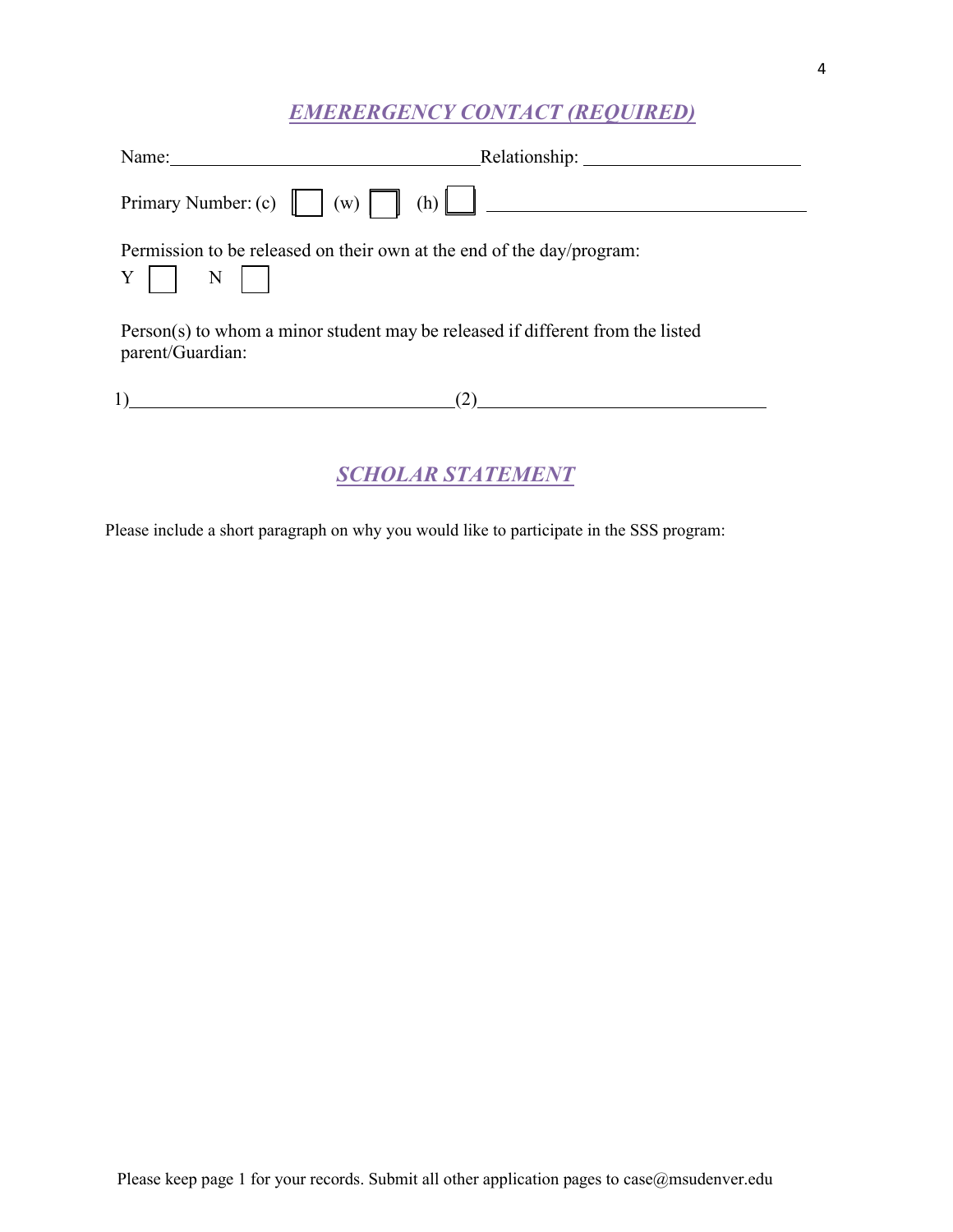## *EMERERGENCY CONTACT (REQUIRED)*

| Name: $\qquad \qquad$                                                                                                       |  |  |  |  |
|-----------------------------------------------------------------------------------------------------------------------------|--|--|--|--|
| Primary Number: (c) $\begin{bmatrix} \end{bmatrix}$ (w) $\begin{bmatrix} \end{bmatrix}$ (h) $\begin{bmatrix} \end{bmatrix}$ |  |  |  |  |
| Permission to be released on their own at the end of the day/program:<br>$Y \mid \mid N \mid$                               |  |  |  |  |
| Person(s) to whom a minor student may be released if different from the listed<br>parent/Guardian:                          |  |  |  |  |
| (2)                                                                                                                         |  |  |  |  |
| SCHOLAR STATEMENT                                                                                                           |  |  |  |  |

Please include a short paragraph on why you would like to participate in the SSS program: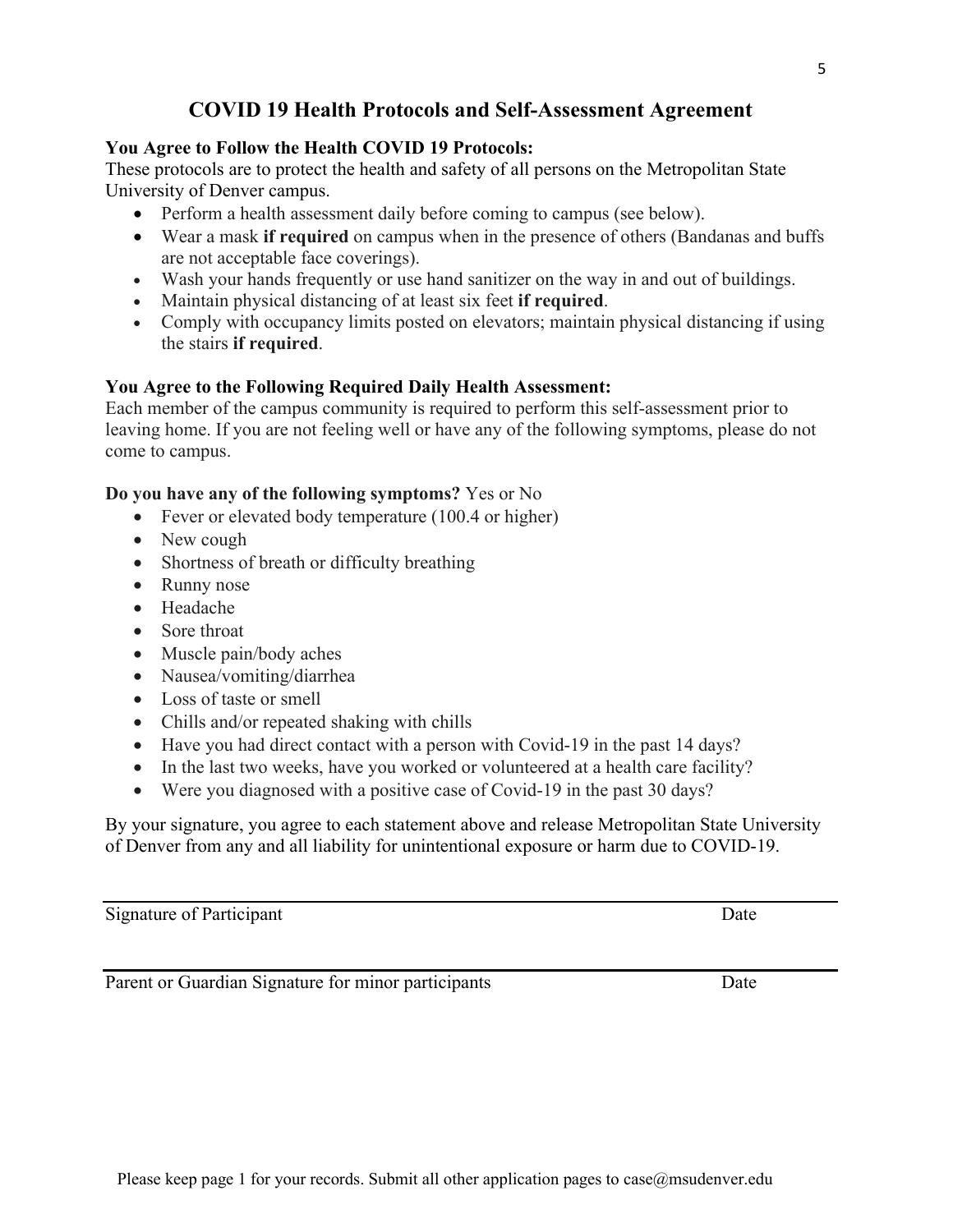## **COVID 19 Health Protocols and Self-Assessment Agreement**

#### **You Agree to Follow the Health COVID 19 Protocols:**

These protocols are to protect the health and safety of all persons on the Metropolitan State University of Denver campus.

- Perform a health assessment daily before coming to campus (see below).
- Wear a mask **if required** on campus when in the presence of others (Bandanas and buffs are not acceptable face coverings).
- Wash your hands frequently or use hand sanitizer on the way in and out of buildings.
- Maintain physical distancing of at least six feet **if required**.
- Comply with occupancy limits posted on elevators; maintain physical distancing if using the stairs **if required**.

#### **You Agree to the Following Required Daily Health Assessment:**

Each member of the campus community is required to perform this self-assessment prior to leaving home. If you are not feeling well or have any of the following symptoms, please do not come to campus.

#### **Do you have any of the following symptoms?** Yes or No

- Fever or elevated body temperature (100.4 or higher)
- New cough
- Shortness of breath or difficulty breathing
- Runny nose
- Headache
- Sore throat
- Muscle pain/body aches
- Nausea/vomiting/diarrhea
- Loss of taste or smell
- Chills and/or repeated shaking with chills
- Have you had direct contact with a person with Covid-19 in the past 14 days?
- In the last two weeks, have you worked or volunteered at a health care facility?
- Were you diagnosed with a positive case of Covid-19 in the past 30 days?

By your signature, you agree to each statement above and release Metropolitan State University of Denver from any and all liability for unintentional exposure or harm due to COVID-19.

Signature of Participant Date

Parent or Guardian Signature for minor participants Date Date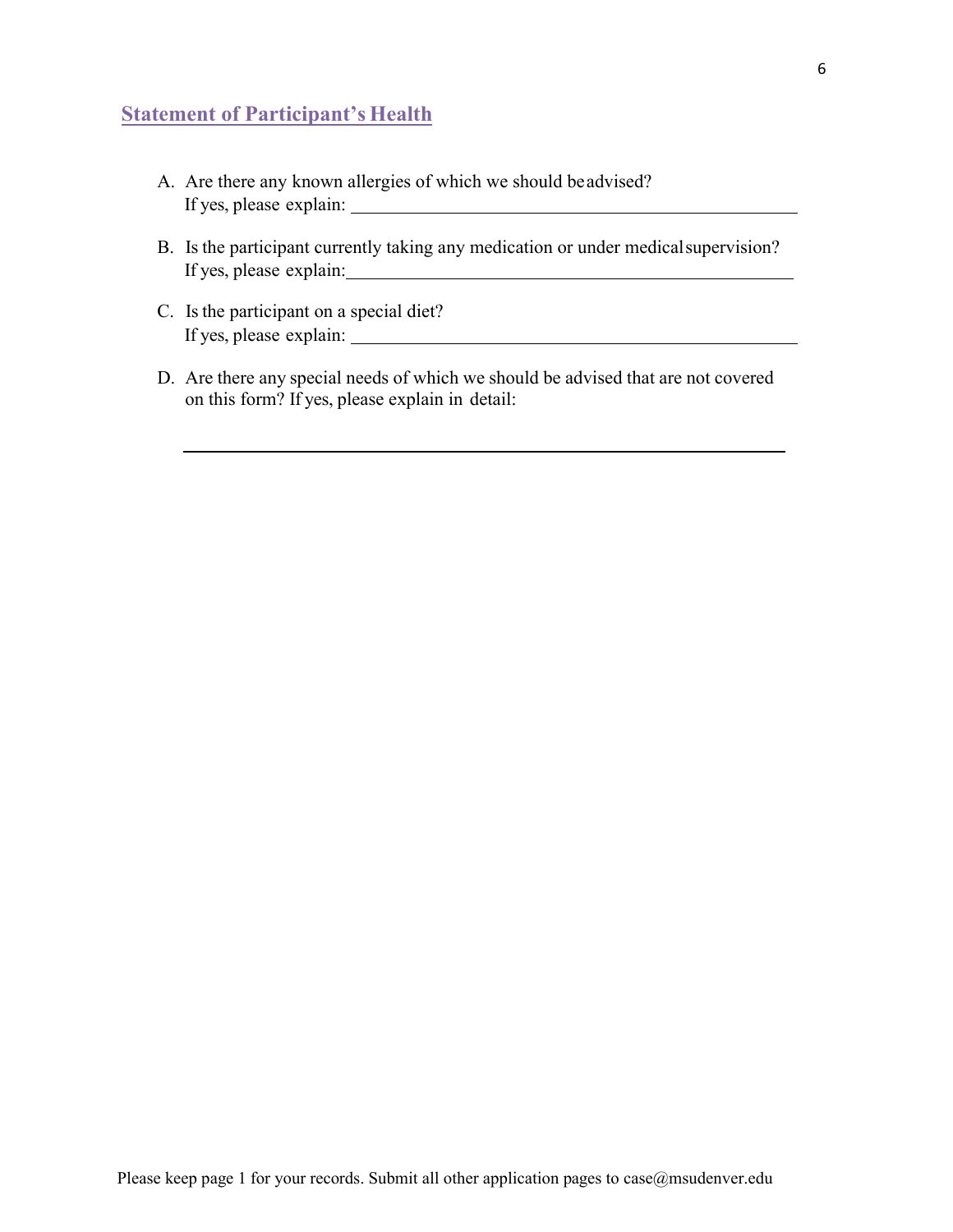## **Statement of Participant's Health**

- A. Are there any known allergies of which we should be advised? If yes, please explain:
- B. Is the participant currently taking any medication or under medical supervision? If yes, please explain:
- C. Is the participant on a special diet? If yes, please explain:
- D. Are there any special needs of which we should be advised that are not covered on this form? If yes, please explain in detail: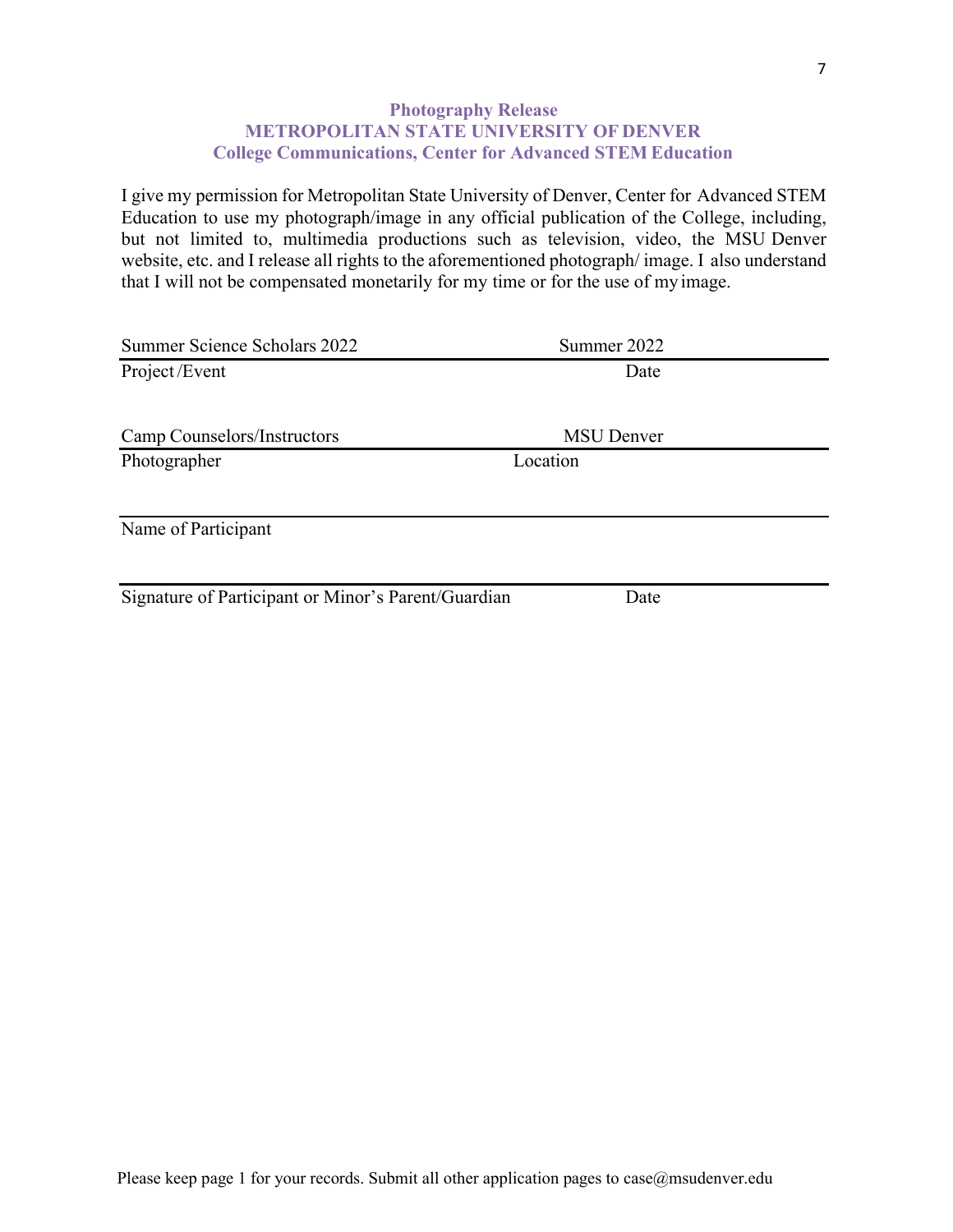#### **Photography Release METROPOLITAN STATE UNIVERSITY OF DENVER College Communications, Center for Advanced STEM Education**

I give my permission for Metropolitan State University of Denver, Center for Advanced STEM Education to use my photograph/image in any official publication of the College, including, but not limited to, multimedia productions such as television, video, the MSU Denver website, etc. and I release all rights to the aforementioned photograph/ image. I also understand that I will not be compensated monetarily for my time or for the use of my image.

| Summer Science Scholars 2022                        | Summer 2022       |
|-----------------------------------------------------|-------------------|
| Project/Event                                       | Date              |
|                                                     |                   |
| Camp Counselors/Instructors                         | <b>MSU</b> Denver |
| Photographer                                        | Location          |
|                                                     |                   |
| Name of Participant                                 |                   |
|                                                     |                   |
| Signature of Participant or Minor's Parent/Guardian | Date              |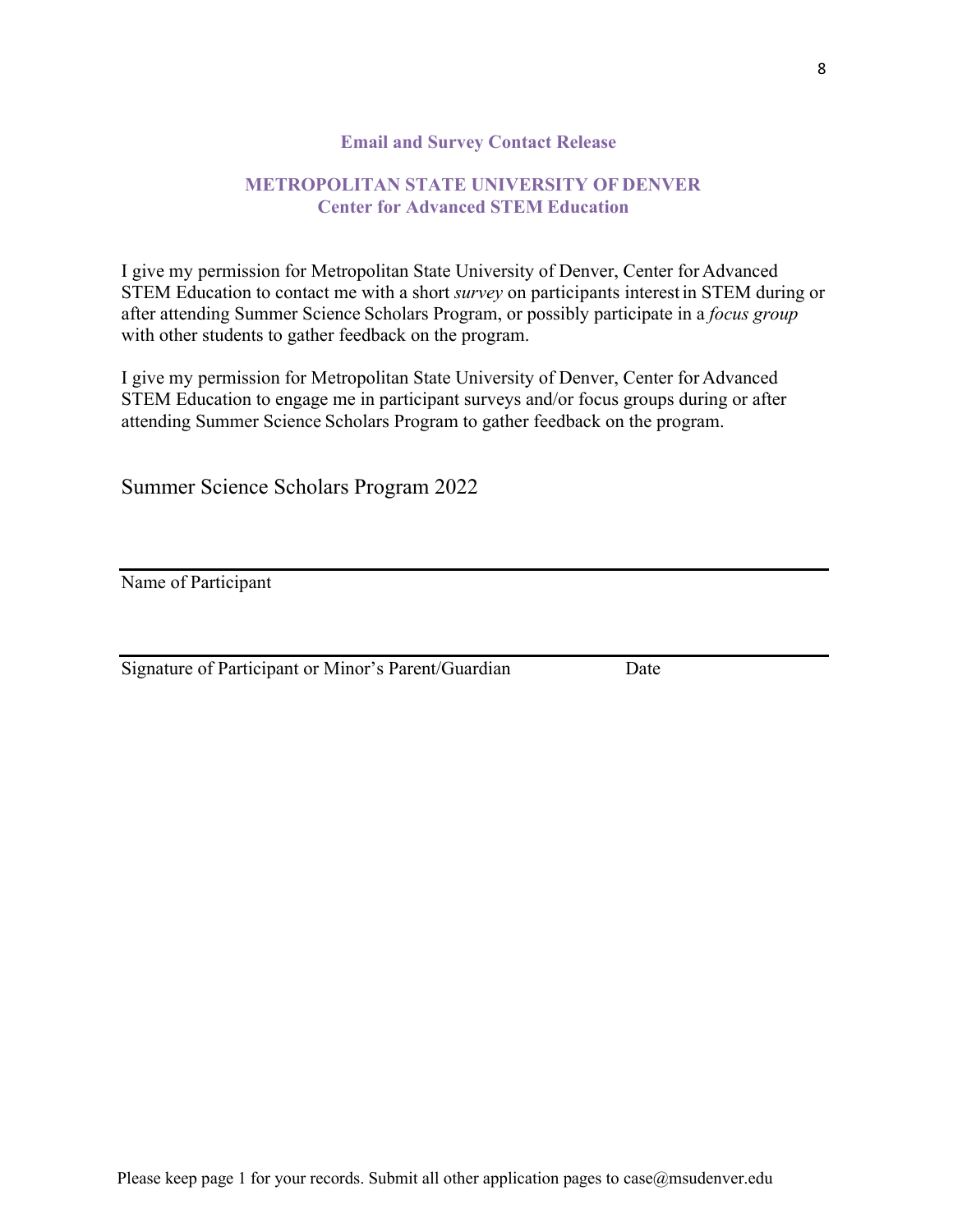#### **Email and Survey Contact Release**

#### **METROPOLITAN STATE UNIVERSITY OF DENVER Center for Advanced STEM Education**

I give my permission for Metropolitan State University of Denver, Center for Advanced STEM Education to contact me with a short *survey* on participants interest in STEM during or after attending Summer Science Scholars Program, or possibly participate in a *focus group* with other students to gather feedback on the program.

I give my permission for Metropolitan State University of Denver, Center for Advanced STEM Education to engage me in participant surveys and/or focus groups during or after attending Summer Science Scholars Program to gather feedback on the program.

Summer Science Scholars Program 2022

Name of Participant

Signature of Participant or Minor's Parent/Guardian Date